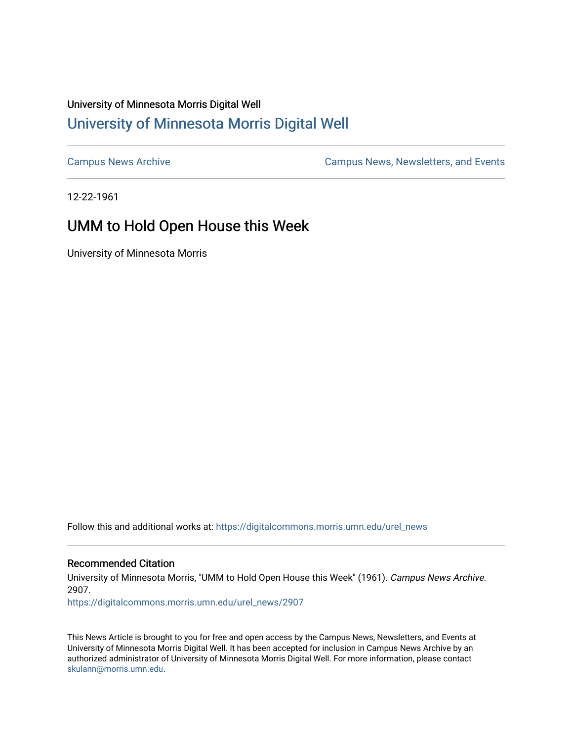## University of Minnesota Morris Digital Well [University of Minnesota Morris Digital Well](https://digitalcommons.morris.umn.edu/)

[Campus News Archive](https://digitalcommons.morris.umn.edu/urel_news) [Campus News, Newsletters, and Events](https://digitalcommons.morris.umn.edu/externalrel) 

12-22-1961

## UMM to Hold Open House this Week

University of Minnesota Morris

Follow this and additional works at: [https://digitalcommons.morris.umn.edu/urel\\_news](https://digitalcommons.morris.umn.edu/urel_news?utm_source=digitalcommons.morris.umn.edu%2Furel_news%2F2907&utm_medium=PDF&utm_campaign=PDFCoverPages) 

## Recommended Citation

University of Minnesota Morris, "UMM to Hold Open House this Week" (1961). Campus News Archive. 2907.

[https://digitalcommons.morris.umn.edu/urel\\_news/2907](https://digitalcommons.morris.umn.edu/urel_news/2907?utm_source=digitalcommons.morris.umn.edu%2Furel_news%2F2907&utm_medium=PDF&utm_campaign=PDFCoverPages) 

This News Article is brought to you for free and open access by the Campus News, Newsletters, and Events at University of Minnesota Morris Digital Well. It has been accepted for inclusion in Campus News Archive by an authorized administrator of University of Minnesota Morris Digital Well. For more information, please contact [skulann@morris.umn.edu.](mailto:skulann@morris.umn.edu)